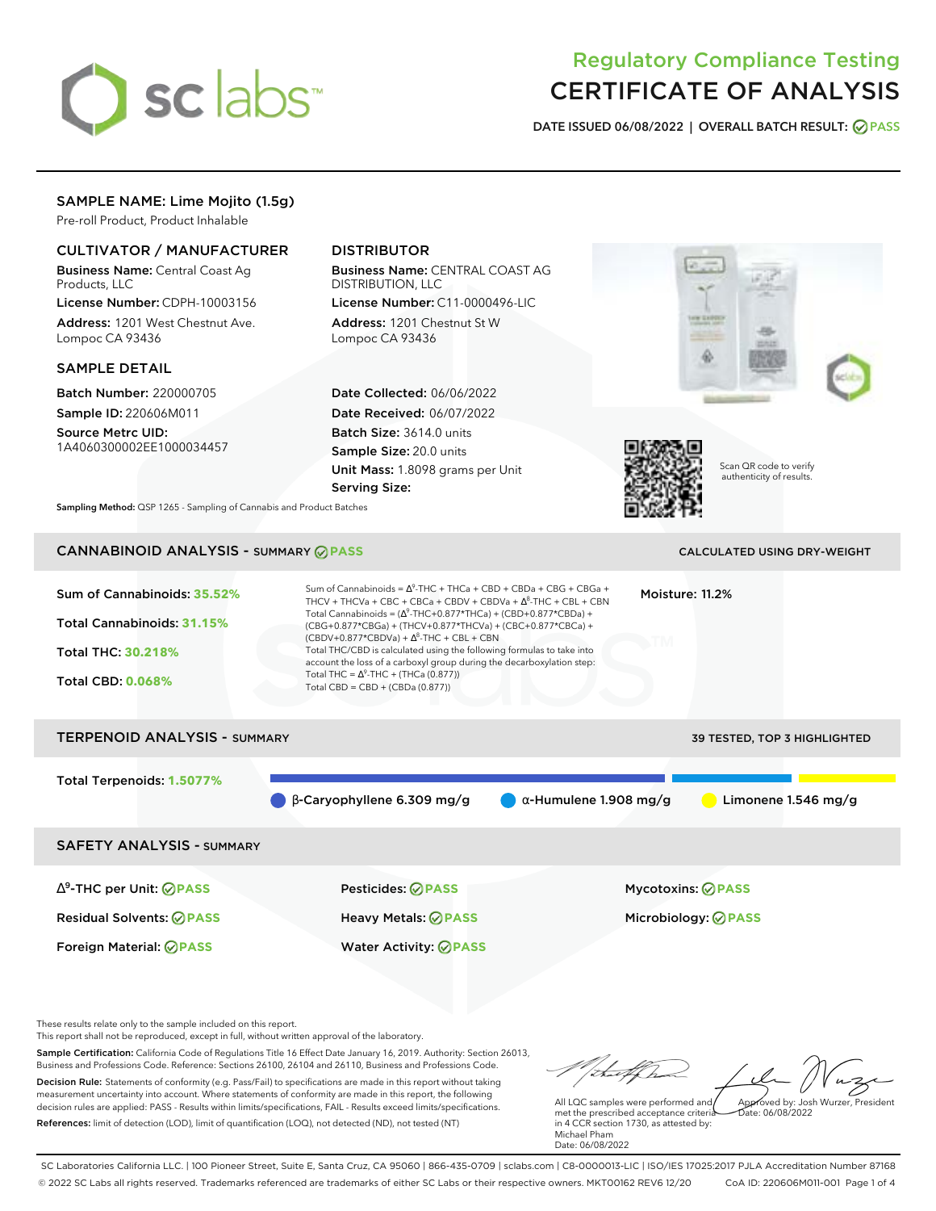# sclabs<sup>\*</sup>

# Regulatory Compliance Testing CERTIFICATE OF ANALYSIS

**DATE ISSUED 06/08/2022 | OVERALL BATCH RESULT: PASS**

# SAMPLE NAME: Lime Mojito (1.5g)

Pre-roll Product, Product Inhalable

# CULTIVATOR / MANUFACTURER

Business Name: Central Coast Ag Products, LLC

License Number: CDPH-10003156 Address: 1201 West Chestnut Ave. Lompoc CA 93436

## SAMPLE DETAIL

Batch Number: 220000705 Sample ID: 220606M011

Source Metrc UID: 1A4060300002EE1000034457

# DISTRIBUTOR

Business Name: CENTRAL COAST AG DISTRIBUTION, LLC

License Number: C11-0000496-LIC Address: 1201 Chestnut St W Lompoc CA 93436

Date Collected: 06/06/2022 Date Received: 06/07/2022 Batch Size: 3614.0 units Sample Size: 20.0 units Unit Mass: 1.8098 grams per Unit Serving Size:





Scan QR code to verify authenticity of results.

**Sampling Method:** QSP 1265 - Sampling of Cannabis and Product Batches

# CANNABINOID ANALYSIS - SUMMARY **PASS** CALCULATED USING DRY-WEIGHT

| Sum of Cannabinoids: 35.52%<br>Total Cannabinoids: 31.15%<br>Total THC: 30.218%<br><b>Total CBD: 0.068%</b> | Sum of Cannabinoids = $\Delta^9$ -THC + THCa + CBD + CBDa + CBG + CBGa +<br>THCV + THCVa + CBC + CBCa + CBDV + CBDVa + $\Delta^8$ -THC + CBL + CBN<br>Total Cannabinoids = $(\Delta^9$ -THC+0.877*THCa) + (CBD+0.877*CBDa) +<br>(CBG+0.877*CBGa) + (THCV+0.877*THCVa) + (CBC+0.877*CBCa) +<br>$(CBDV+0.877*CBDVa) + \Delta^8$ -THC + CBL + CBN<br>Total THC/CBD is calculated using the following formulas to take into<br>account the loss of a carboxyl group during the decarboxylation step:<br>Total THC = $\Delta^9$ -THC + (THCa (0.877))<br>Total CBD = CBD + (CBDa (0.877)) |                               | Moisture: 11.2%                     |
|-------------------------------------------------------------------------------------------------------------|--------------------------------------------------------------------------------------------------------------------------------------------------------------------------------------------------------------------------------------------------------------------------------------------------------------------------------------------------------------------------------------------------------------------------------------------------------------------------------------------------------------------------------------------------------------------------------------|-------------------------------|-------------------------------------|
| <b>TERPENOID ANALYSIS - SUMMARY</b>                                                                         |                                                                                                                                                                                                                                                                                                                                                                                                                                                                                                                                                                                      |                               | <b>39 TESTED, TOP 3 HIGHLIGHTED</b> |
| Total Terpenoids: 1.5077%                                                                                   | $\beta$ -Caryophyllene 6.309 mg/g                                                                                                                                                                                                                                                                                                                                                                                                                                                                                                                                                    | $\alpha$ -Humulene 1.908 mg/g | Limonene $1.546$ mg/g               |
| <b>SAFETY ANALYSIS - SUMMARY</b>                                                                            |                                                                                                                                                                                                                                                                                                                                                                                                                                                                                                                                                                                      |                               |                                     |

∆ 9 -THC per Unit: **PASS** Pesticides: **PASS** Mycotoxins: **PASS** Residual Solvents: **PASS** Heavy Metals: **PASS** Microbiology: **PASS**

Foreign Material: **PASS** Water Activity: **PASS**

These results relate only to the sample included on this report.

This report shall not be reproduced, except in full, without written approval of the laboratory.

Sample Certification: California Code of Regulations Title 16 Effect Date January 16, 2019. Authority: Section 26013, Business and Professions Code. Reference: Sections 26100, 26104 and 26110, Business and Professions Code. Decision Rule: Statements of conformity (e.g. Pass/Fail) to specifications are made in this report without taking measurement uncertainty into account. Where statements of conformity are made in this report, the following decision rules are applied: PASS - Results within limits/specifications, FAIL - Results exceed limits/specifications.

References: limit of detection (LOD), limit of quantification (LOQ), not detected (ND), not tested (NT)

tu of h Approved by: Josh Wurzer, President

 $hat: 06/08/2022$ 

All LQC samples were performed and met the prescribed acceptance criteria in 4 CCR section 1730, as attested by: Michael Pham Date: 06/08/2022

SC Laboratories California LLC. | 100 Pioneer Street, Suite E, Santa Cruz, CA 95060 | 866-435-0709 | sclabs.com | C8-0000013-LIC | ISO/IES 17025:2017 PJLA Accreditation Number 87168 © 2022 SC Labs all rights reserved. Trademarks referenced are trademarks of either SC Labs or their respective owners. MKT00162 REV6 12/20 CoA ID: 220606M011-001 Page 1 of 4